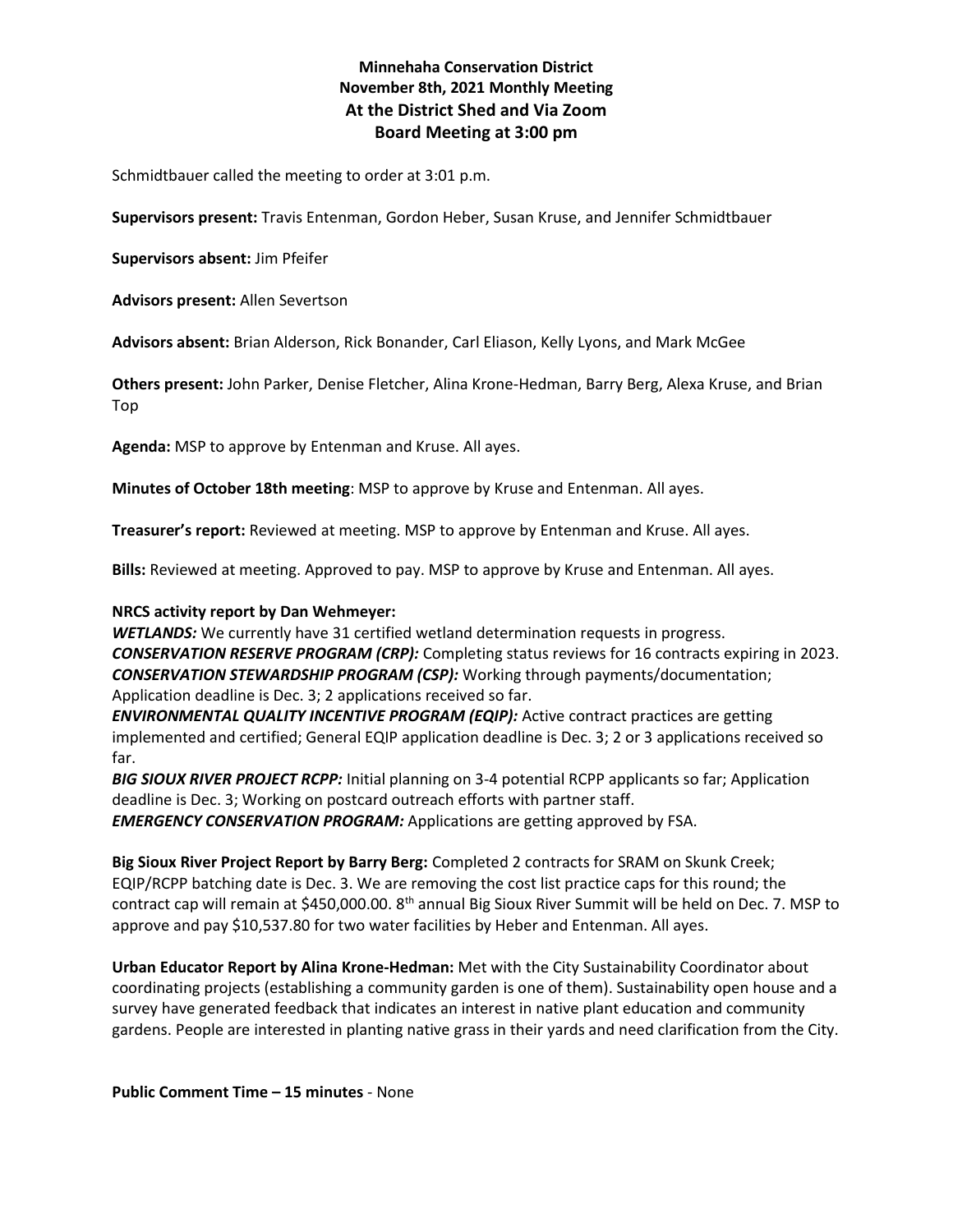# **Minnehaha Conservation District November 8th, 2021 Monthly Meeting At the District Shed and Via Zoom Board Meeting at 3:00 pm**

Schmidtbauer called the meeting to order at 3:01 p.m.

**Supervisors present:** Travis Entenman, Gordon Heber, Susan Kruse, and Jennifer Schmidtbauer

**Supervisors absent:** Jim Pfeifer

**Advisors present:** Allen Severtson

**Advisors absent:** Brian Alderson, Rick Bonander, Carl Eliason, Kelly Lyons, and Mark McGee

**Others present:** John Parker, Denise Fletcher, Alina Krone-Hedman, Barry Berg, Alexa Kruse, and Brian Top

**Agenda:** MSP to approve by Entenman and Kruse. All ayes.

**Minutes of October 18th meeting**: MSP to approve by Kruse and Entenman. All ayes.

**Treasurer's report:** Reviewed at meeting. MSP to approve by Entenman and Kruse. All ayes.

**Bills:** Reviewed at meeting. Approved to pay. MSP to approve by Kruse and Entenman. All ayes.

### **NRCS activity report by Dan Wehmeyer:**

*WETLANDS:* We currently have 31 certified wetland determination requests in progress. *CONSERVATION RESERVE PROGRAM (CRP):* Completing status reviews for 16 contracts expiring in 2023. *CONSERVATION STEWARDSHIP PROGRAM (CSP):* Working through payments/documentation; Application deadline is Dec. 3; 2 applications received so far.

*ENVIRONMENTAL QUALITY INCENTIVE PROGRAM (EQIP):* Active contract practices are getting implemented and certified; General EQIP application deadline is Dec. 3; 2 or 3 applications received so far.

*BIG SIOUX RIVER PROJECT RCPP:* Initial planning on 3-4 potential RCPP applicants so far; Application deadline is Dec. 3; Working on postcard outreach efforts with partner staff. *EMERGENCY CONSERVATION PROGRAM:* Applications are getting approved by FSA.

**Big Sioux River Project Report by Barry Berg:** Completed 2 contracts for SRAM on Skunk Creek; EQIP/RCPP batching date is Dec. 3. We are removing the cost list practice caps for this round; the contract cap will remain at \$450,000.00. 8<sup>th</sup> annual Big Sioux River Summit will be held on Dec. 7. MSP to approve and pay \$10,537.80 for two water facilities by Heber and Entenman. All ayes.

**Urban Educator Report by Alina Krone-Hedman:** Met with the City Sustainability Coordinator about coordinating projects (establishing a community garden is one of them). Sustainability open house and a survey have generated feedback that indicates an interest in native plant education and community gardens. People are interested in planting native grass in their yards and need clarification from the City.